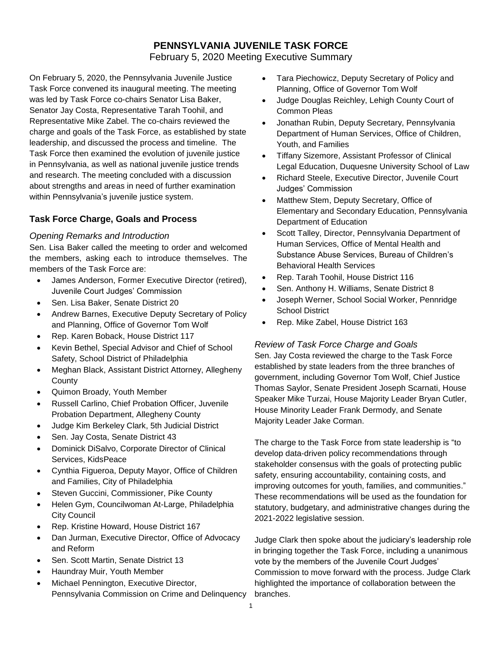# **PENNSYLVANIA JUVENILE TASK FORCE**

February 5, 2020 Meeting Executive Summary

On February 5, 2020, the Pennsylvania Juvenile Justice Task Force convened its inaugural meeting. The meeting was led by Task Force co-chairs Senator Lisa Baker, Senator Jay Costa, Representative Tarah Toohil, and Representative Mike Zabel. The co-chairs reviewed the charge and goals of the Task Force, as established by state leadership, and discussed the process and timeline. The Task Force then examined the evolution of juvenile justice in Pennsylvania, as well as national juvenile justice trends and research. The meeting concluded with a discussion about strengths and areas in need of further examination within Pennsylvania's juvenile justice system.

# **Task Force Charge, Goals and Process**

#### *Opening Remarks and Introduction*

Sen. Lisa Baker called the meeting to order and welcomed the members, asking each to introduce themselves. The members of the Task Force are:

- James Anderson, Former Executive Director (retired), Juvenile Court Judges' Commission
- Sen. Lisa Baker, Senate District 20
- Andrew Barnes, Executive Deputy Secretary of Policy and Planning, Office of Governor Tom Wolf
- Rep. Karen Boback, House District 117
- Kevin Bethel, Special Advisor and Chief of School Safety, School District of Philadelphia
- Meghan Black, Assistant District Attorney, Allegheny **County**
- Quimon Broady, Youth Member
- Russell Carlino, Chief Probation Officer, Juvenile Probation Department, Allegheny County
- Judge Kim Berkeley Clark, 5th Judicial District
- Sen. Jay Costa, Senate District 43
- Dominick DiSalvo, Corporate Director of Clinical Services, KidsPeace
- Cynthia Figueroa, Deputy Mayor, Office of Children and Families, City of Philadelphia
- Steven Guccini, Commissioner, Pike County
- Helen Gym, Councilwoman At-Large, Philadelphia City Council
- Rep. Kristine Howard, House District 167
- Dan Jurman, Executive Director, Office of Advocacy and Reform
- Sen. Scott Martin, Senate District 13
- Haundray Muir, Youth Member
- Michael Pennington, Executive Director, Pennsylvania Commission on Crime and Delinquency
- Tara Piechowicz, Deputy Secretary of Policy and Planning, Office of Governor Tom Wolf
- Judge Douglas Reichley, Lehigh County Court of Common Pleas
- Jonathan Rubin, Deputy Secretary, Pennsylvania Department of Human Services, Office of Children, Youth, and Families
- Tiffany Sizemore, Assistant Professor of Clinical Legal Education, Duquesne University School of Law
- Richard Steele, Executive Director, Juvenile Court Judges' Commission
- Matthew Stem, Deputy Secretary, Office of Elementary and Secondary Education, Pennsylvania Department of Education
- Scott Talley, Director, Pennsylvania Department of Human Services, Office of Mental Health and Substance Abuse Services, Bureau of Children's Behavioral Health Services
- Rep. Tarah Toohil, House District 116
- Sen. Anthony H. Williams, Senate District 8
- Joseph Werner, School Social Worker, Pennridge School District
- Rep. Mike Zabel, House District 163

### *Review of Task Force Charge and Goals*

Sen. Jay Costa reviewed the charge to the Task Force established by state leaders from the three branches of government, including Governor Tom Wolf, Chief Justice Thomas Saylor, Senate President Joseph Scarnati, House Speaker Mike Turzai, House Majority Leader Bryan Cutler, House Minority Leader Frank Dermody, and Senate Majority Leader Jake Corman.

The charge to the Task Force from state leadership is "to develop data-driven policy recommendations through stakeholder consensus with the goals of protecting public safety, ensuring accountability, containing costs, and improving outcomes for youth, families, and communities." These recommendations will be used as the foundation for statutory, budgetary, and administrative changes during the 2021-2022 legislative session.

Judge Clark then spoke about the judiciary's leadership role in bringing together the Task Force, including a unanimous vote by the members of the Juvenile Court Judges' Commission to move forward with the process. Judge Clark highlighted the importance of collaboration between the branches.